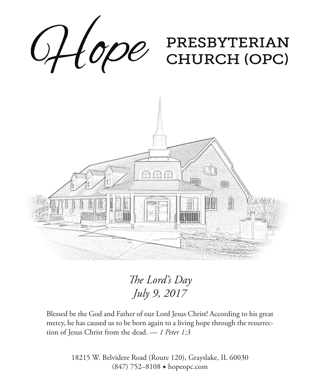

*The Lord's Day July 9, 2017*

Blessed be the God and Father of our Lord Jesus Christ! According to his great mercy, he has caused us to be born again to a living hope through the resurrection of Jesus Christ from the dead. — *1 Peter 1:3*

> 18215 W. Belvidere Road (Route 120), Grayslake, IL 60030 (847) 752–8108 ◆ hopeopc.com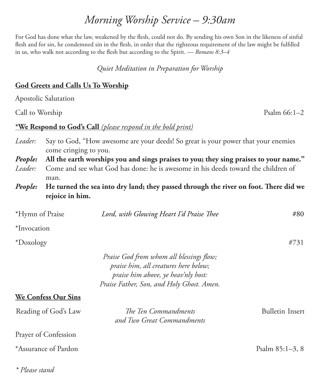## *Morning Worship Service – 9:30am*

For God has done what the law, weakened by the flesh, could not do. By sending his own Son in the likeness of sinful flesh and for sin, he condemned sin in the flesh, in order that the righteous requirement of the law might be fulfilled in us, who walk not according to the flesh but according to the Spirit. — *Romans 8:3–4*

*Quiet Meditation in Preparation for Worship*

#### **God Greets and Calls Us To Worship**

Apostolic Salutation

Call to Worship Psalm 66:1–2

#### **\*We Respond to God's Call** *(please respond in the bold print)*

| <i>Leader:</i> Say to God, "How awesome are your deeds! So great is your power that your enemies |
|--------------------------------------------------------------------------------------------------|
| come cringing to you.                                                                            |

- *People:* **All the earth worships you and sings praises to you; they sing praises to your name."** *Leader:* Come and see what God has done: he is awesome in his deeds toward the children of man.
- *People:* **He turned the sea into dry land; they passed through the river on foot. There did we rejoice in him.**

| *Hymn of Praise            | Lord, with Glowing Heart I'd Praise Thee                                                                                                                              | #80                    |
|----------------------------|-----------------------------------------------------------------------------------------------------------------------------------------------------------------------|------------------------|
| *Invocation                |                                                                                                                                                                       |                        |
| *Doxology                  |                                                                                                                                                                       | #731                   |
|                            | Praise God from whom all blessings flow;<br>praise him, all creatures here below;<br>praise him above, ye heav'nly host:<br>Praise Father, Son, and Holy Ghost. Amen. |                        |
| <b>We Confess Our Sins</b> |                                                                                                                                                                       |                        |
| Reading of God's Law       | The Ten Commandments<br>and Two Great Commandments                                                                                                                    | <b>Bulletin Insert</b> |
| Prayer of Confession       |                                                                                                                                                                       |                        |
| *Assurance of Pardon       |                                                                                                                                                                       | Psalm $85:1-3, 8$      |

*\* Please stand*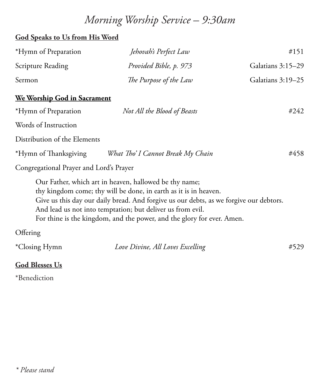# *Morning Worship Service – 9:30am*

#### **God Speaks to Us from His Word**

| *Hymn of Preparation | Jehovah's Perfect Law  | #151              |
|----------------------|------------------------|-------------------|
| Scripture Reading    | Provided Bible, p. 973 | Galatians 3:15–29 |
| Sermon               | The Purpose of the Law | Galatians 3:19–25 |

#### **We Worship God in Sacrament**

| *Hymn of Preparation                    | Not All the Blood of Beasts       | #242 |  |  |
|-----------------------------------------|-----------------------------------|------|--|--|
| Words of Instruction                    |                                   |      |  |  |
| Distribution of the Elements            |                                   |      |  |  |
| *Hymn of Thanksgiving                   | What Tho' I Cannot Break My Chain | #458 |  |  |
| Congregational Prayer and Lord's Prayer |                                   |      |  |  |

Our Father, which art in heaven, hallowed be thy name; thy kingdom come; thy will be done, in earth as it is in heaven. Give us this day our daily bread. And forgive us our debts, as we forgive our debtors. And lead us not into temptation; but deliver us from evil. For thine is the kingdom, and the power, and the glory for ever. Amen.

#### **Offering**

| *Closing Hymn | Love Divine, All Loves Excelling | #529 |
|---------------|----------------------------------|------|
|---------------|----------------------------------|------|

#### **God Blesses Us**

\*Benediction